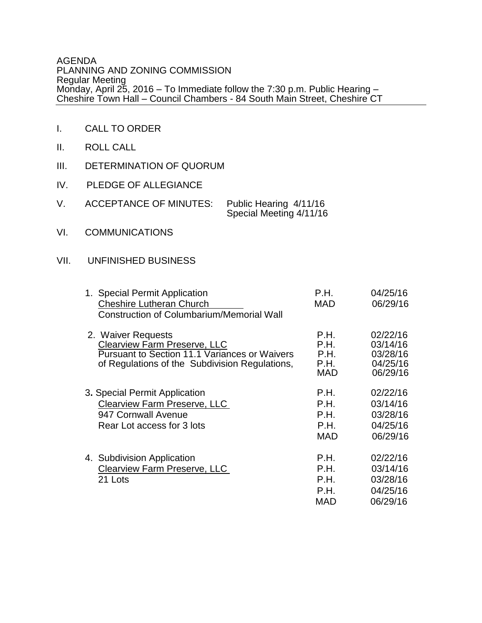### AGENDA PLANNING AND ZONING COMMISSION Regular Meeting Monday, April 25, 2016 – To Immediate follow the 7:30 p.m. Public Hearing – Cheshire Town Hall – Council Chambers - 84 South Main Street, Cheshire CT

- I. CALL TO ORDER
- II. ROLL CALL
- III. DETERMINATION OF QUORUM
- IV. PLEDGE OF ALLEGIANCE

| <b>ACCEPTANCE OF MINUTES:</b> | Public Hearing 4/11/16  |
|-------------------------------|-------------------------|
|                               | Special Meeting 4/11/16 |

VI. COMMUNICATIONS

# VII. UNFINISHED BUSINESS

| 1. Special Permit Application<br><b>Cheshire Lutheran Church</b><br><b>Construction of Columbarium/Memorial Wall</b>                                                | P.H.<br><b>MAD</b>                         | 04/25/16<br>06/29/16                                     |
|---------------------------------------------------------------------------------------------------------------------------------------------------------------------|--------------------------------------------|----------------------------------------------------------|
| 2. Waiver Requests<br><b>Clearview Farm Preserve, LLC</b><br><b>Pursuant to Section 11.1 Variances or Waivers</b><br>of Regulations of the Subdivision Regulations, | P.H.<br>P.H.<br>P.H.<br>P.H.<br><b>MAD</b> | 02/22/16<br>03/14/16<br>03/28/16<br>04/25/16<br>06/29/16 |
| 3. Special Permit Application<br><b>Clearview Farm Preserve, LLC</b><br>947 Cornwall Avenue<br>Rear Lot access for 3 lots                                           | P.H.<br>P.H.<br>P.H.<br>P.H.<br><b>MAD</b> | 02/22/16<br>03/14/16<br>03/28/16<br>04/25/16<br>06/29/16 |
| 4. Subdivision Application<br><b>Clearview Farm Preserve, LLC</b><br>21 Lots                                                                                        | P.H.<br>P.H.<br>P.H.<br>P.H.<br><b>MAD</b> | 02/22/16<br>03/14/16<br>03/28/16<br>04/25/16<br>06/29/16 |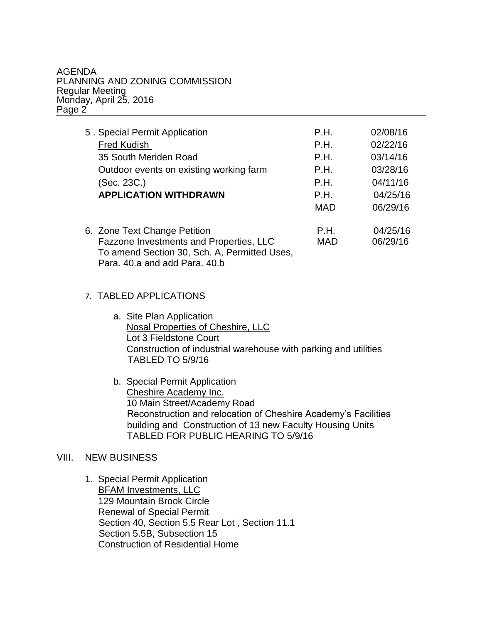#### AGENDA PLANNING AND ZONING COMMISSION Regular Meeting Monday, April 25, 2016 Page 2

| 5. Special Permit Application                | P.H.       | 02/08/16 |
|----------------------------------------------|------------|----------|
| <b>Fred Kudish</b>                           | P.H.       | 02/22/16 |
| 35 South Meriden Road                        | P.H.       | 03/14/16 |
| Outdoor events on existing working farm      | P.H.       | 03/28/16 |
| (Sec. 23C.)                                  | P.H.       | 04/11/16 |
| <b>APPLICATION WITHDRAWN</b>                 | P.H.       | 04/25/16 |
|                                              | MAD        | 06/29/16 |
| 6. Zone Text Change Petition                 | P.H.       | 04/25/16 |
| Fazzone Investments and Properties, LLC      | <b>MAD</b> | 06/29/16 |
| To amend Section 30, Sch. A, Permitted Uses, |            |          |

Para. 40.a and add Para. 40.b

# 7. TABLED APPLICATIONS

- a. Site Plan Application Nosal Properties of Cheshire, LLC Lot 3 Fieldstone Court Construction of industrial warehouse with parking and utilities TABLED TO 5/9/16
- b. Special Permit Application Cheshire Academy Inc. 10 Main Street/Academy Road Reconstruction and relocation of Cheshire Academy's Facilities building and Construction of 13 new Faculty Housing Units TABLED FOR PUBLIC HEARING TO 5/9/16

### VIII. NEW BUSINESS

1. Special Permit Application BFAM Investments, LLC 129 Mountain Brook Circle Renewal of Special Permit Section 40, Section 5.5 Rear Lot , Section 11.1 Section 5.5B, Subsection 15 Construction of Residential Home